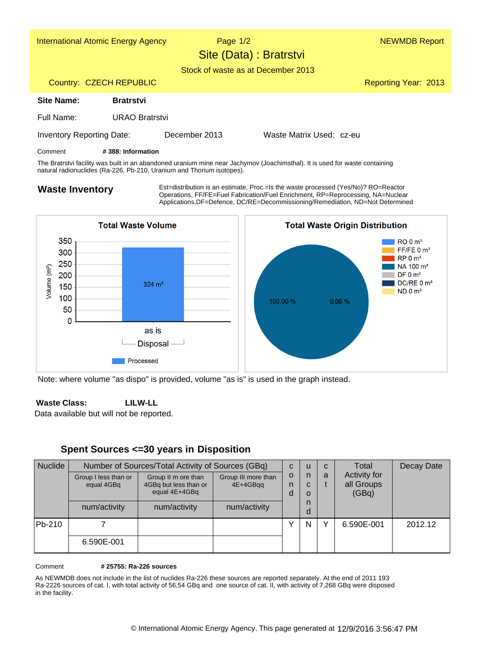



Note: where volume "as dispo" is provided, volume "as is" is used in the graph instead.

#### **LILW-LL Waste Class:**

Data available but will not be reported.

## **Spent Sources <=30 years in Disposition**

| <b>Nuclide</b> | Number of Sources/Total Activity of Sources (GBq) |                                                               |                                 | $\mathbf{C}$ | u                | C | Total                                      | Decay Date |
|----------------|---------------------------------------------------|---------------------------------------------------------------|---------------------------------|--------------|------------------|---|--------------------------------------------|------------|
|                | Group I less than or<br>equal 4GBq                | Group II m ore than<br>4GBq but less than or<br>equal 4E+4GBq | Group III more than<br>4E+4GBqq | O<br>n<br>d  | n<br>C<br>O<br>n | a | <b>Activity for</b><br>all Groups<br>(GBq) |            |
|                | num/activity                                      | num/activity                                                  | num/activity                    |              | O                |   |                                            |            |
| Pb-210         |                                                   |                                                               |                                 |              | N                |   | 6.590E-001                                 | 2012.12    |
|                | 6.590E-001                                        |                                                               |                                 |              |                  |   |                                            |            |

 **# 25755: Ra-226 sources** Comment

As NEWMDB does not include in the list of nuclides Ra-226 these sources are reported separately. At the end of 2011 193 Ra-2226 sources of cat. I, with total activity of 56,54 GBq and one source of cat. II, with activity of 7,268 GBq were disposed in the facility.